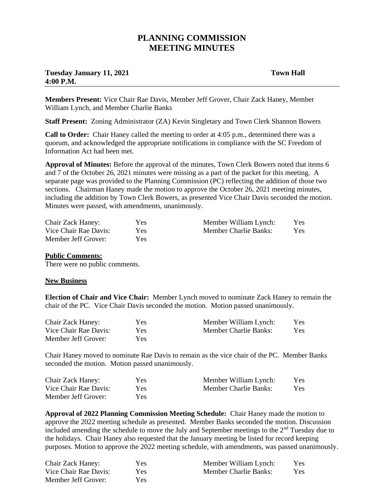## **PLANNING COMMISSION MEETING MINUTES**

## **Tuesday January 11, 2021** Town Hall **4:00 P.M.**

**Members Present:** Vice Chair Rae Davis, Member Jeff Grover, Chair Zack Haney, Member William Lynch, and Member Charlie Banks

**Staff Present:** Zoning Administrator (ZA) Kevin Singletary and Town Clerk Shannon Bowers

**Call to Order:** Chair Haney called the meeting to order at 4:05 p.m., determined there was a quorum, and acknowledged the appropriate notifications in compliance with the SC Freedom of Information Act had been met.

**Approval of Minutes:** Before the approval of the minutes, Town Clerk Bowers noted that items 6 and 7 of the October 26, 2021 minutes were missing as a part of the packet for this meeting. A separate page was provided to the Planning Commission (PC) reflecting the addition of those two sections. Chairman Haney made the motion to approve the October 26, 2021 meeting minutes, including the addition by Town Clerk Bowers, as presented Vice Chair Davis seconded the motion. Minutes were passed, with amendments, unanimously.

| <b>Chair Zack Haney:</b> | <b>Yes</b> | Member William Lynch: | Yes. |
|--------------------------|------------|-----------------------|------|
| Vice Chair Rae Davis:    | Yes.       | Member Charlie Banks: | Yes. |
| Member Jeff Grover:      | Yes:       |                       |      |

## **Public Comments:**

There were no public comments.

## **New Business**

**Election of Chair and Vice Chair:** Member Lynch moved to nominate Zack Haney to remain the chair of the PC. Vice Chair Davis seconded the motion. Motion passed unanimously.

| <b>Chair Zack Haney:</b> | Yes  | Member William Lynch: | <b>Yes</b> |
|--------------------------|------|-----------------------|------------|
| Vice Chair Rae Davis:    | Yes. | Member Charlie Banks: | Yes.       |
| Member Jeff Grover:      | Yes  |                       |            |

Chair Haney moved to nominate Rae Davis to remain as the vice chair of the PC. Member Banks seconded the motion. Motion passed unanimously.

| <b>Chair Zack Haney:</b> | Yes        | Member William Lynch: | Yes. |
|--------------------------|------------|-----------------------|------|
| Vice Chair Rae Davis:    | <b>Yes</b> | Member Charlie Banks: | Yes: |
| Member Jeff Grover:      | Yes        |                       |      |

**Approval of 2022 Planning Commission Meeting Schedule:** Chair Haney made the motion to approve the 2022 meeting schedule as presented. Member Banks seconded the motion. Discussion included amending the schedule to move the July and September meetings to the  $2<sup>nd</sup>$  Tuesday due to the holidays. Chair Haney also requested that the January meeting be listed for record keeping purposes. Motion to approve the 2022 meeting schedule, with amendments, was passed unanimously.

| Chair Zack Haney:     | Yes. | Member William Lynch: | Yes. |
|-----------------------|------|-----------------------|------|
| Vice Chair Rae Davis: | Yes: | Member Charlie Banks: | Yes. |
| Member Jeff Grover:   | Yes. |                       |      |